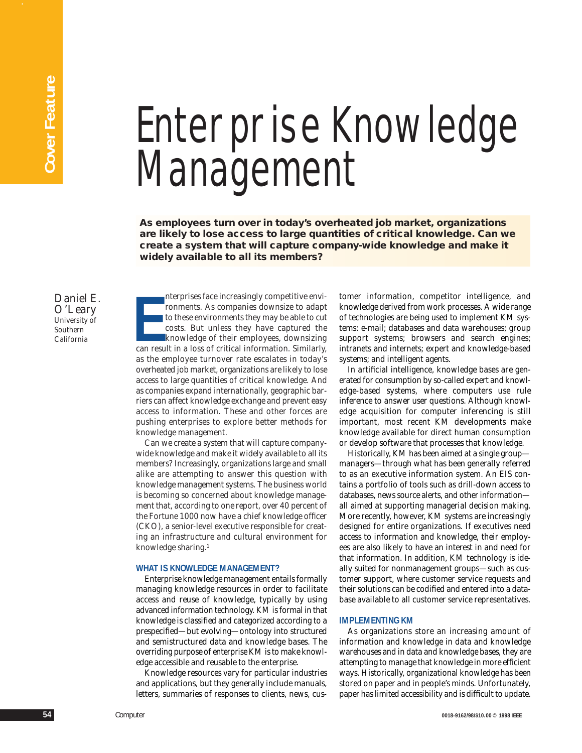# Enterprise Knowledge **Management**

**As employees turn over in today's overheated job market, organizations are likely to lose access to large quantities of critical knowledge. Can we create a system that will capture company-wide knowledge and make it widely available to all its members?** 

*Daniel E. O'Leary* University of Southern California

nterprises face increasingly competitive environments. As companies downsize to adapt to these environments they may be able to cut costs. But unless they have captured the knowledge of their employees, downsizing can resu nterprises face increasingly competitive environments. As companies downsize to adapt to these environments they may be able to cut costs. But unless they have captured the knowledge of their employees, downsizing as the employee turnover rate escalates in today's overheated job market, organizations are likely to lose access to large quantities of critical knowledge. And as companies expand internationally, geographic barriers can affect knowledge exchange and prevent easy access to information. These and other forces are pushing enterprises to explore better methods for knowledge management.

Can we create a system that will capture companywide knowledge and make it widely available to all its members? Increasingly, organizations large and small alike are attempting to answer this question with knowledge management systems. The business world is becoming so concerned about knowledge management that, according to one report, over 40 percent of the Fortune 1000 now have a chief knowledge officer (CKO), a senior-level executive responsible for creating an infrastructure and cultural environment for knowledge sharing.<sup>1</sup>

#### **WHAT IS KNOWLEDGE MANAGEMENT?**

Enterprise knowledge management entails formally managing knowledge resources in order to facilitate access and reuse of knowledge, typically by using advanced information technology. KM is formal in that knowledge is classified and categorized according to a prespecified—but evolving—ontology into structured and semistructured data and knowledge bases. The overriding purpose of enterprise KM is to make knowledge accessible and reusable to the enterprise.

Knowledge resources vary for particular industries and applications, but they generally include manuals, letters, summaries of responses to clients, news, customer information, competitor intelligence, and knowledge derived from work processes. A wide range of technologies are being used to implement KM systems: e-mail; databases and data warehouses; group support systems; browsers and search engines; intranets and internets; expert and knowledge-based systems; and intelligent agents.

In artificial intelligence, knowledge bases are generated for consumption by so-called expert and knowledge-based systems, where computers use rule inference to answer user questions. Although knowledge acquisition for computer inferencing is still important, most recent KM developments make knowledge available for direct human consumption or develop software that processes that knowledge.

Historically, KM has been aimed at a single group managers—through what has been generally referred to as an executive information system. An EIS contains a portfolio of tools such as drill-down access to databases, news source alerts, and other information all aimed at supporting managerial decision making. More recently, however, KM systems are increasingly designed for entire organizations. If executives need access to information and knowledge, their employees are also likely to have an interest in and need for that information. In addition, KM technology is ideally suited for nonmanagement groups—such as customer support, where customer service requests and their solutions can be codified and entered into a database available to all customer service representatives.

#### **IMPLEMENTING KM**

As organizations store an increasing amount of information and knowledge in data and knowledge warehouses and in data and knowledge bases, they are attempting to manage that knowledge in more efficient ways. Historically, organizational knowledge has been stored on paper and in people's minds. Unfortunately, paper has limited accessibility and is difficult to update.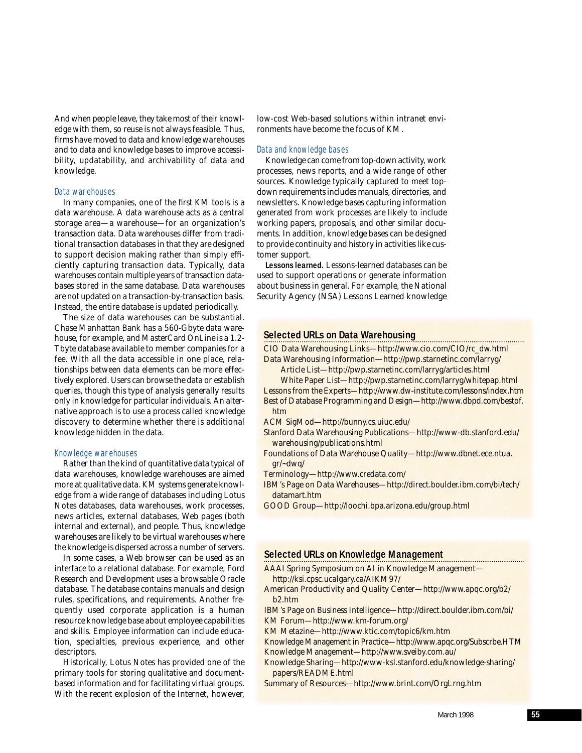And when people leave, they take most of their knowledge with them, so reuse is not always feasible. Thus, firms have moved to data and knowledge warehouses and to data and knowledge bases to improve accessibility, updatability, and archivability of data and knowledge.

#### Data warehouses

In many companies, one of the first KM tools is a data warehouse. A data warehouse acts as a central storage area—a *warehouse*—for an organization's transaction data. Data warehouses differ from traditional transaction databases in that they are designed to support decision making rather than simply efficiently capturing transaction data. Typically, data warehouses contain multiple years of transaction databases stored in the same database. Data warehouses are not updated on a transaction-by-transaction basis. Instead, the entire database is updated periodically.

The size of data warehouses can be substantial. Chase Manhattan Bank has a 560-Gbyte data warehouse, for example, and MasterCard OnLine is a 1.2- Tbyte database available to member companies for a fee. With all the data accessible in one place, relationships between data elements can be more effectively explored. Users can browse the data or establish queries, though this type of analysis generally results only in knowledge for particular individuals. An alternative approach is to use a process called knowledge discovery to determine whether there is additional knowledge hidden in the data.

#### Knowledge warehouses

Rather than the kind of quantitative data typical of data warehouses, *knowledge warehouses* are aimed more at qualitative data. KM systems generate knowledge from a wide range of databases including Lotus Notes databases, data warehouses, work processes, news articles, external databases, Web pages (both internal and external), and people. Thus, knowledge warehouses are likely to be virtual warehouses where the knowledge is dispersed across a number of servers.

In some cases, a Web browser can be used as an interface to a relational database. For example, Ford Research and Development uses a browsable Oracle database. The database contains manuals and design rules, specifications, and requirements. Another frequently used corporate application is a human resource knowledge base about employee capabilities and skills. Employee information can include education, specialties, previous experience, and other descriptors.

Historically, Lotus Notes has provided one of the primary tools for storing qualitative and documentbased information and for facilitating virtual groups. With the recent explosion of the Internet, however, low-cost Web-based solutions within intranet environments have become the focus of KM.

#### Data and knowledge bases

Knowledge can come from top-down activity, work processes, news reports, and a wide range of other sources. Knowledge typically captured to meet topdown requirements includes manuals, directories, and newsletters. Knowledge bases capturing information generated from work processes are likely to include working papers, proposals, and other similar documents. In addition, knowledge bases can be designed to provide continuity and history in activities like customer support.

**Lessons learned.** Lessons-learned databases can be used to support operations or generate information about business in general. For example, the National Security Agency (NSA) Lessons Learned knowledge

## **Selected URLs on Data Warehousing**

CIO Data Warehousing Links—http://www.cio.com/CIO/rc\_dw.html Data Warehousing Information—http://pwp.starnetinc.com/larryg/

Article List—http://pwp.starnetinc.com/larryg/articles.html

White Paper List—http://pwp.starnetinc.com/larryg/whitepap.html Lessons from the Experts—http://www.dw-institute.com/lessons/index.htm Best of *Database Programming and Design*—http://www.dbpd.com/bestof. htm

- ACM SigMod—http://bunny.cs.uiuc.edu/
- Stanford Data Warehousing Publications—http://www-db.stanford.edu/ warehousing/publications.html
- Foundations of Data Warehouse Quality—http://www.dbnet.ece.ntua. gr/~dwq/
- Terminology—http://www.credata.com/
- IBM's Page on Data Warehouses—http://direct.boulder.ibm.com/bi/tech/ datamart.htm
- GOOD Group—http://loochi.bpa.arizona.edu/group.html

#### **Selected URLs on Knowledge Management**

- AAAI Spring Symposium on AI in Knowledge Management http://ksi.cpsc.ucalgary.ca/AIKM97/
- American Productivity and Quality Center—http://www.apqc.org/b2/ b2.htm
- IBM's Page on Business Intelligence—http://direct.boulder.ibm.com/bi/ KM Forum—http://www.km-forum.org/
- KM Metazine—http://www.ktic.com/topic6/km.htm
- Knowledge Management in Practice—http://www.apqc.org/Subscrbe.HTM Knowledge Management—http://www.sveiby.com.au/
- Knowledge Sharing—http://www-ksl.stanford.edu/knowledge-sharing/ papers/README.html
- Summary of Resources—http://www.brint.com/OrgLrng.htm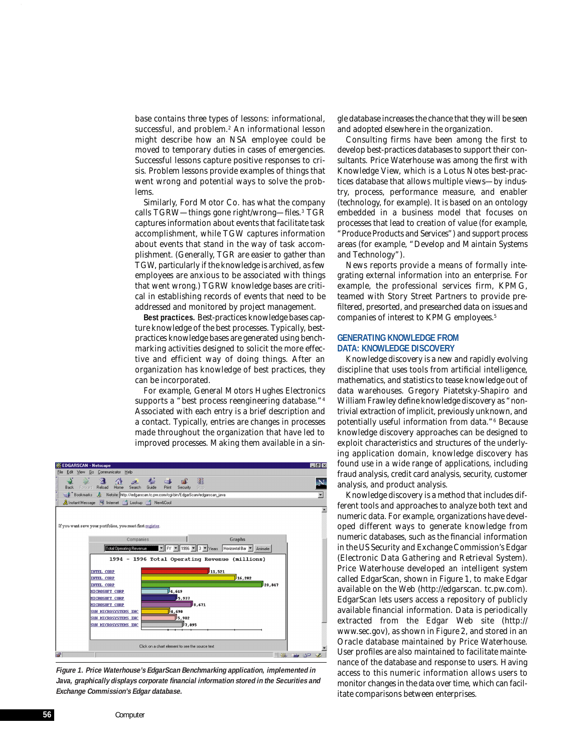base contains three types of lessons: informational, successful, and problem.<sup>2</sup> An informational lesson might describe how an NSA employee could be moved to temporary duties in cases of emergencies. Successful lessons capture positive responses to crisis. Problem lessons provide examples of things that went wrong and potential ways to solve the problems.

Similarly, Ford Motor Co. has what the company calls TGRW—things gone right/wrong—files.3 TGR captures information about events that facilitate task accomplishment, while TGW captures information about events that stand in the way of task accomplishment. (Generally, TGR are easier to gather than TGW, particularly if the knowledge is archived, as few employees are anxious to be associated with things that went wrong.) TGRW knowledge bases are critical in establishing records of events that need to be addressed and monitored by project management.

**Best practices.** Best-practices knowledge bases capture knowledge of the best processes. Typically, bestpractices knowledge bases are generated using benchmarking activities designed to solicit the more effective and efficient way of doing things. After an organization has knowledge of best practices, they can be incorporated.

For example, General Motors Hughes Electronics supports a "best process reengineering database."<sup>4</sup> Associated with each entry is a brief description and a contact. Typically, entries are changes in processes made throughout the organization that have led to improved processes. Making them available in a sin-



**Figure 1. Price Waterhouse's EdgarScan Benchmarking application, implemented in Java, graphically displays corporate financial information stored in the Securities and Exchange Commission's Edgar database.** 

gle database increases the chance that they will be seen and adopted elsewhere in the organization.

Consulting firms have been among the first to develop best-practices databases to support their consultants. Price Waterhouse was among the first with Knowledge View, which is a Lotus Notes best-practices database that allows multiple views—by industry, process, performance measure, and enabler (technology, for example). It is based on an ontology embedded in a business model that focuses on processes that lead to creation of value (for example, "Produce Products and Services") and support process areas (for example, "Develop and Maintain Systems and Technology").

News reports provide a means of formally integrating external information into an enterprise. For example, the professional services firm, KPMG, teamed with Story Street Partners to provide prefiltered, presorted, and presearched data on issues and companies of interest to KPMG employees.5

#### **GENERATING KNOWLEDGE FROM DATA: KNOWLEDGE DISCOVERY**

Knowledge discovery is a new and rapidly evolving discipline that uses tools from artificial intelligence, mathematics, and statistics to tease knowledge out of data warehouses. Gregory Piatetsky-Shapiro and William Frawley define knowledge discovery as "nontrivial extraction of implicit, previously unknown, and potentially useful information from data."6 Because knowledge discovery approaches can be designed to exploit characteristics and structures of the underlying application domain, knowledge discovery has found use in a wide range of applications, including fraud analysis, credit card analysis, security, customer analysis, and product analysis.

Knowledge discovery is a method that includes different tools and approaches to analyze both text and numeric data. For example, organizations have developed different ways to generate knowledge from numeric databases, such as the financial information in the US Security and Exchange Commission's Edgar (Electronic Data Gathering and Retrieval System). Price Waterhouse developed an intelligent system called EdgarScan, shown in Figure 1, to make Edgar available on the Web (http://edgarscan. tc.pw.com). EdgarScan lets users access a repository of publicly available financial information. Data is periodically extracted from the Edgar Web site (http:// www.sec.gov), as shown in Figure 2, and stored in an Oracle database maintained by Price Waterhouse. User profiles are also maintained to facilitate maintenance of the database and response to users. Having access to this numeric information allows users to monitor changes in the data over time, which can facilitate comparisons between enterprises.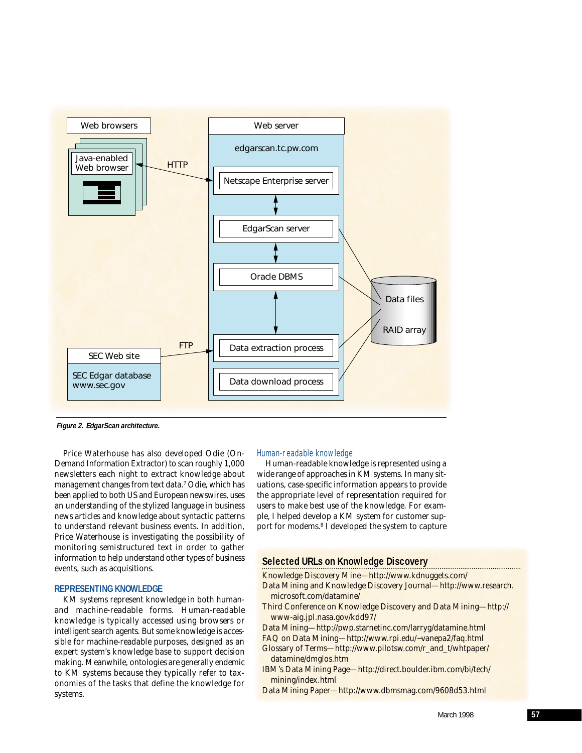

**Figure 2. EdgarScan architecture.**

Price Waterhouse has also developed Odie (On-Demand Information Extractor) to scan roughly 1,000 newsletters each night to extract knowledge about management changes from text data.7 Odie, which has been applied to both US and European newswires, uses an understanding of the stylized language in business news articles and knowledge about syntactic patterns to understand relevant business events. In addition, Price Waterhouse is investigating the possibility of monitoring semistructured text in order to gather information to help understand other types of business events, such as acquisitions.

#### **REPRESENTING KNOWLEDGE**

KM systems represent knowledge in both humanand machine-readable forms. Human-readable knowledge is typically accessed using browsers or intelligent search agents. But some knowledge is accessible for machine-readable purposes, designed as an expert system's knowledge base to support decision making. Meanwhile, ontologies are generally endemic to KM systems because they typically refer to taxonomies of the tasks that define the knowledge for systems.

#### Human-readable knowledge

Human-readable knowledge is represented using a wide range of approaches in KM systems. In many situations, case-specific information appears to provide the appropriate level of representation required for users to make best use of the knowledge. For example, I helped develop a KM system for customer support for modems.8 I developed the system to capture

### **Selected URLs on Knowledge Discovery**

- Knowledge Discovery Mine—http://www.kdnuggets.com/ Data Mining and Knowledge Discovery Journal—http://www.research. microsoft.com/datamine/ Third Conference on Knowledge Discovery and Data Mining—http://
- www-aig.jpl.nasa.gov/kdd97/
- Data Mining—http://pwp.starnetinc.com/larryg/datamine.html FAQ on Data Mining—http://www.rpi.edu/~vanepa2/faq.html
- Glossary of Terms—http://www.pilotsw.com/r\_and\_t/whtpaper/ datamine/dmglos.htm
- IBM's Data Mining Page—http://direct.boulder.ibm.com/bi/tech/ mining/index.html
- Data Mining Paper—http://www.dbmsmag.com/9608d53.html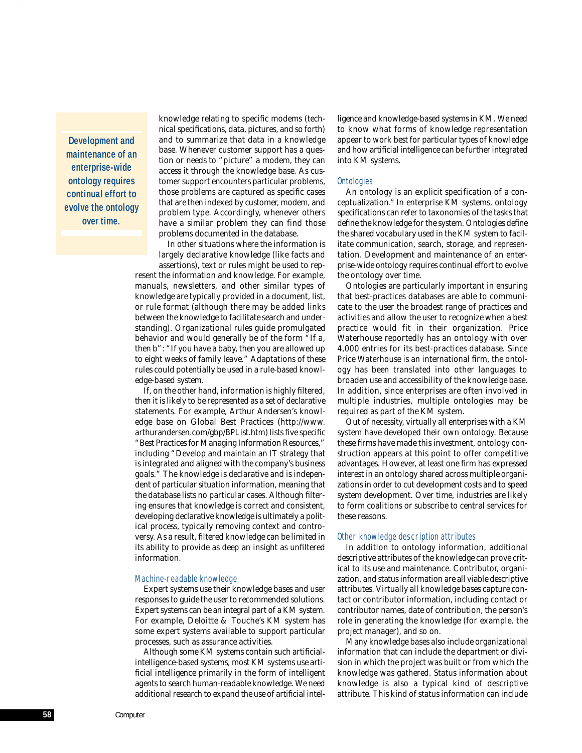**Development and maintenance of an enterprise-wide ontology requires continual effort to evolve the ontology over time.** 

knowledge relating to specific modems (technical specifications, data, pictures, and so forth) and to summarize that data in a knowledge base. Whenever customer support has a question or needs to "picture" a modem, they can access it through the knowledge base. As customer support encounters particular problems, those problems are captured as specific cases that are then indexed by customer, modem, and problem type. Accordingly, whenever others have a similar problem they can find those problems documented in the database.

In other situations where the information is largely declarative knowledge (like facts and assertions), text or rules might be used to rep-

resent the information and knowledge. For example, manuals, newsletters, and other similar types of knowledge are typically provided in a document, list, or rule format (although there may be added links between the knowledge to facilitate search and understanding). Organizational rules guide promulgated behavior and would generally be of the form "If a, then b": "If you have a baby, then you are allowed up to eight weeks of family leave." Adaptations of these rules could potentially be used in a rule-based knowledge-based system.

If, on the other hand, information is highly filtered, then it is likely to be represented as a set of declarative statements. For example, Arthur Andersen's knowledge base on Global Best Practices (http://www. arthurandersen.com/gbp/BPList.htm) lists five specific "Best Practices for Managing Information Resources," including "Develop and maintain an IT strategy that is integrated and aligned with the company's business goals." The knowledge is declarative and is independent of particular situation information, meaning that the database lists no particular cases. Although filtering ensures that knowledge is correct and consistent, developing declarative knowledge is ultimately a political process, typically removing context and controversy. As a result, filtered knowledge can be limited in its ability to provide as deep an insight as unfiltered information.

#### Machine-readable knowledge

Expert systems use their knowledge bases and user responses to guide the user to recommended solutions. Expert systems can be an integral part of a KM system. For example, Deloitte & Touche's KM system has some expert systems available to support particular processes, such as assurance activities.

Although some KM systems contain such artificialintelligence-based systems, most KM systems use artificial intelligence primarily in the form of intelligent agents to search human-readable knowledge. We need additional research to expand the use of artificial intelligence and knowledge-based systems in KM. We need to know what forms of knowledge representation appear to work best for particular types of knowledge and how artificial intelligence can be further integrated into KM systems.

#### **Ontologies**

An ontology is an explicit specification of a conceptualization.9 In enterprise KM systems, ontology specifications can refer to taxonomies of the tasks that define the knowledge for the system. Ontologies define the shared vocabulary used in the KM system to facilitate communication, search, storage, and representation. Development and maintenance of an enterprise-wide ontology requires continual effort to evolve the ontology over time.

Ontologies are particularly important in ensuring that best-practices databases are able to communicate to the user the broadest range of practices and activities and allow the user to recognize when a best practice would fit in their organization. Price Waterhouse reportedly has an ontology with over 4,000 entries for its best-practices database. Since Price Waterhouse is an international firm, the ontology has been translated into other languages to broaden use and accessibility of the knowledge base. In addition, since enterprises are often involved in multiple industries, multiple ontologies may be required as part of the KM system.

Out of necessity, virtually all enterprises with a KM system have developed their own ontology. Because these firms have made this investment, ontology construction appears at this point to offer competitive advantages. However, at least one firm has expressed interest in an ontology shared across multiple organizations in order to cut development costs and to speed system development. Over time, industries are likely to form coalitions or subscribe to central services for these reasons.

#### Other knowledge description attributes

In addition to ontology information, additional descriptive attributes of the knowledge can prove critical to its use and maintenance. Contributor, organization, and status information are all viable descriptive attributes. Virtually all knowledge bases capture contact or contributor information, including contact or contributor names, date of contribution, the person's role in generating the knowledge (for example, the project manager), and so on.

Many knowledge bases also include organizational information that can include the *department* or *division* in which the project was built or from which the knowledge was gathered. Status information about knowledge is also a typical kind of descriptive attribute. This kind of status information can include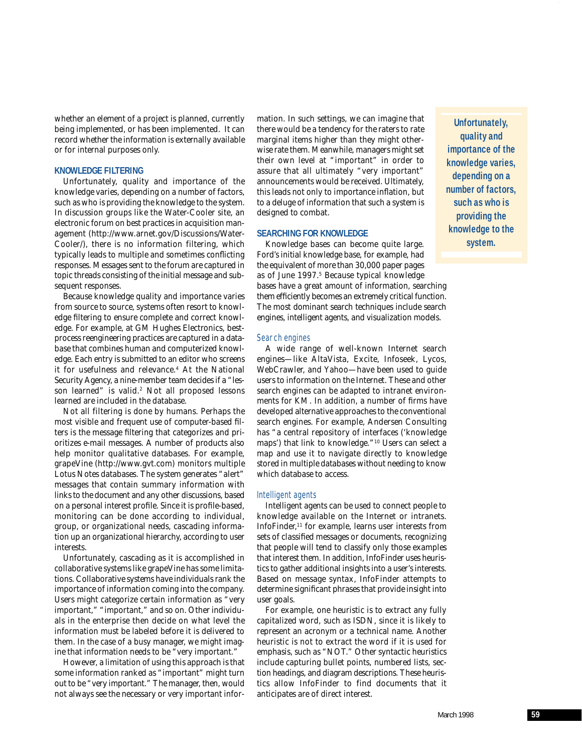whether an element of a project is planned, currently being implemented, or has been implemented. It can record whether the information is externally available or for internal purposes only.

#### **KNOWLEDGE FILTERING**

Unfortunately, quality and importance of the knowledge varies, depending on a number of factors, such as who is providing the knowledge to the system. In discussion groups like the Water-Cooler site, an electronic forum on best practices in acquisition management (http://www.arnet.gov/Discussions/Water-Cooler/), there is no information filtering, which typically leads to multiple and sometimes conflicting responses. Messages sent to the forum are captured in topic threads consisting of the initial message and subsequent responses.

Because knowledge quality and importance varies from source to source, systems often resort to knowledge filtering to ensure complete and correct knowledge. For example, at GM Hughes Electronics, bestprocess reengineering practices are captured in a database that combines human and computerized knowledge. Each entry is submitted to an editor who screens it for usefulness and relevance.4 At the National Security Agency, a nine-member team decides if a "lesson learned" is valid.<sup>2</sup> Not all proposed lessons learned are included in the database.

Not all filtering is done by humans. Perhaps the most visible and frequent use of computer-based filters is the message filtering that categorizes and prioritizes e-mail messages. A number of products also help monitor qualitative databases. For example, grapeVine (http://www.gvt.com) monitors multiple Lotus Notes databases. The system generates "alert" messages that contain summary information with links to the document and any other discussions, based on a personal interest profile. Since it is profile-based, monitoring can be done according to individual, group, or organizational needs, cascading information up an organizational hierarchy, according to user interests.

Unfortunately, cascading as it is accomplished in collaborative systems like grapeVine has some limitations. Collaborative systems have individuals rank the importance of information coming into the company. Users might categorize certain information as "very important," "important," and so on. Other individuals in the enterprise then decide on what level the information must be labeled before it is delivered to them. In the case of a busy manager, we might imagine that information needs to be "very important."

However, a limitation of using this approach is that some information ranked as "important" might turn out to be "very important." The manager, then, would not always see the necessary or very important information. In such settings, we can imagine that there would be a tendency for the raters to rate marginal items higher than they might otherwise rate them. Meanwhile, managers might set their own level at "important" in order to assure that all ultimately "very important" announcements would be received. Ultimately, this leads not only to importance inflation, but to a deluge of information that such a system is designed to combat.

#### **SEARCHING FOR KNOWLEDGE**

Knowledge bases can become quite large. Ford's initial knowledge base, for example, had the equivalent of more than 30,000 paper pages as of June 1997.5 Because typical knowledge bases have a great amount of information, searching them efficiently becomes an extremely critical function. The most dominant search techniques include search engines, intelligent agents, and visualization models.

#### Search engines

A wide range of well-known Internet search engines—like AltaVista, Excite, Infoseek, Lycos, WebCrawler, and Yahoo—have been used to guide users to information on the Internet. These and other search engines can be adapted to intranet environments for KM. In addition, a number of firms have developed alternative approaches to the conventional search engines. For example, Andersen Consulting has "a central repository of interfaces ('knowledge maps') that link to knowledge."10 Users can select a map and use it to navigate directly to knowledge stored in multiple databases without needing to know which database to access.

#### Intelligent agents

Intelligent agents can be used to connect people to knowledge available on the Internet or intranets. InfoFinder,11 for example, learns user interests from sets of classified messages or documents, recognizing that people will tend to classify only those examples that interest them. In addition, InfoFinder uses heuristics to gather additional insights into a user's interests. Based on message syntax, InfoFinder attempts to determine significant phrases that provide insight into user goals.

For example, one heuristic is to extract any fully capitalized word, such as ISDN, since it is likely to represent an acronym or a technical name. Another heuristic is not to extract the word if it is used for emphasis, such as "NOT." Other syntactic heuristics include capturing bullet points, numbered lists, section headings, and diagram descriptions. These heuristics allow InfoFinder to find documents that it anticipates are of direct interest.

**Unfortunately, quality and importance of the knowledge varies, depending on a number of factors, such as who is providing the knowledge to the system.**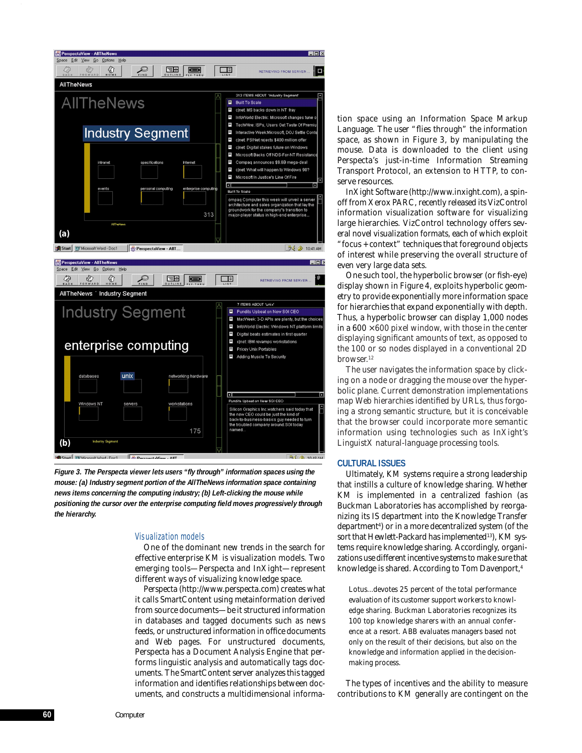

**Figure 3. The Perspecta viewer lets users "fly through" information spaces using the mouse: (a) Industry segment portion of the AllTheNews information space containing news items concerning the computing industry; (b) Left-clicking the mouse while positioning the cursor over the enterprise computing field moves progressively through the hierarchy.** 

#### Visualization models

One of the dominant new trends in the search for effective enterprise KM is visualization models. Two emerging tools—Perspecta and InXight—represent different ways of visualizing knowledge space.

Perspecta (http://www.perspecta.com) creates what it calls SmartContent using metainformation derived from source documents—be it structured information in databases and tagged documents such as news feeds, or unstructured information in office documents and Web pages. For unstructured documents, Perspecta has a Document Analysis Engine that performs linguistic analysis and automatically tags documents. The SmartContent server analyzes this tagged information and identifies relationships between documents, and constructs a multidimensional information space using an Information Space Markup Language. The user "flies through" the information space, as shown in Figure 3, by manipulating the mouse. Data is downloaded to the client using Perspecta's just-in-time Information Streaming Transport Protocol, an extension to HTTP, to conserve resources.

InXight Software (http://www.inxight.com), a spinoff from Xerox PARC, recently released its VizControl information visualization software for visualizing large hierarchies. VizControl technology offers several novel visualization formats, each of which exploit "focus + context" techniques that foreground objects of interest while preserving the overall structure of even very large data sets.

One such tool, the hyperbolic browser (or fish-eye) display shown in Figure 4, exploits hyperbolic geometry to provide exponentially more information space for hierarchies that expand exponentially with depth. Thus, a hyperbolic browser can display 1,000 nodes in a  $600 \times 600$  pixel window, with those in the center displaying significant amounts of text, as opposed to the 100 or so nodes displayed in a conventional 2D browser.12

The user navigates the information space by clicking on a node or dragging the mouse over the hyperbolic plane. Current demonstration implementations map Web hierarchies identified by URLs, thus forgoing a strong semantic structure, but it is conceivable that the browser could incorporate more semantic information using technologies such as InXight's LinguistX natural-language processing tools.

#### **CULTURAL ISSUES**

Ultimately, KM systems require a strong leadership that instills a culture of knowledge sharing. Whether KM is implemented in a centralized fashion (as Buckman Laboratories has accomplished by reorganizing its IS department into the Knowledge Transfer department4) or in a more decentralized system (of the sort that Hewlett-Packard has implemented<sup>13</sup>), KM systems require knowledge sharing. Accordingly, organizations use different incentive systems to make sure that knowledge is shared. According to Tom Davenport,<sup>4</sup>

Lotus...devotes 25 percent of the total performance evaluation of its customer support workers to knowledge sharing. Buckman Laboratories recognizes its 100 top knowledge sharers with an annual conference at a resort. ABB evaluates managers based not only on the result of their decisions, but also on the knowledge and information applied in the decisionmaking process.

The types of incentives and the ability to measure contributions to KM generally are contingent on the